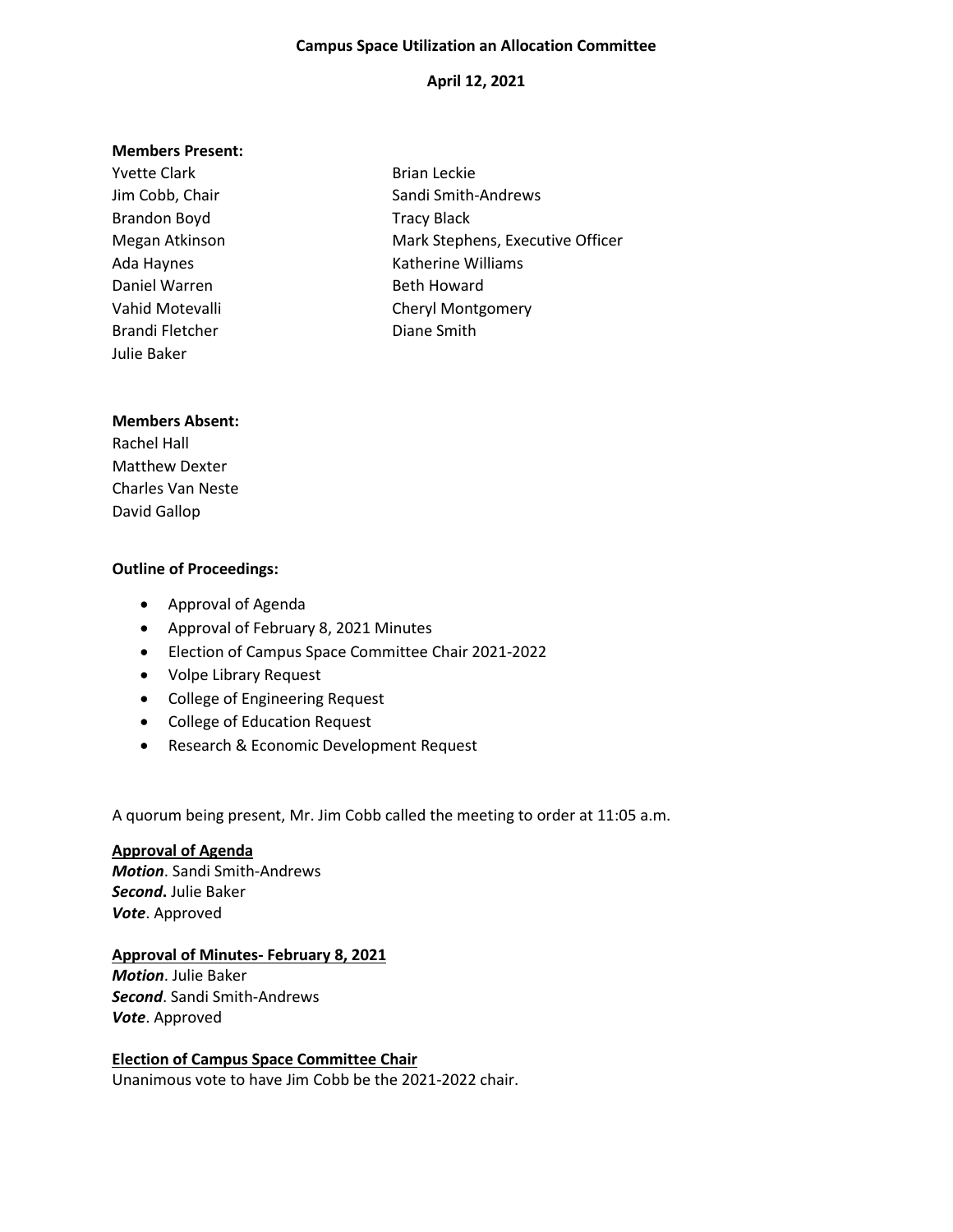### **Campus Space Utilization an Allocation Committee**

# **April 12, 2021**

#### **Members Present:**

| <b>Yvette Clark</b> | <b>Brian Leckie</b>              |
|---------------------|----------------------------------|
| Jim Cobb, Chair     | Sandi Smith-Andrews              |
| Brandon Boyd        | <b>Tracy Black</b>               |
| Megan Atkinson      | Mark Stephens, Executive Officer |
| Ada Haynes          | Katherine Williams               |
| Daniel Warren       | <b>Beth Howard</b>               |
| Vahid Motevalli     | <b>Cheryl Montgomery</b>         |
| Brandi Fletcher     | Diane Smith                      |
| Julie Baker         |                                  |

### **Members Absent:**

Rachel Hall Matthew Dexter Charles Van Neste David Gallop

### **Outline of Proceedings:**

- Approval of Agenda
- Approval of February 8, 2021 Minutes
- Election of Campus Space Committee Chair 2021-2022
- Volpe Library Request
- College of Engineering Request
- College of Education Request
- Research & Economic Development Request

A quorum being present, Mr. Jim Cobb called the meeting to order at 11:05 a.m.

**Approval of Agenda** *Motion*. Sandi Smith-Andrews *Second***.** Julie Baker *Vote*. Approved

## **Approval of Minutes- February 8, 2021**

*Motion*. Julie Baker *Second*. Sandi Smith-Andrews *Vote*. Approved

### **Election of Campus Space Committee Chair**

Unanimous vote to have Jim Cobb be the 2021-2022 chair.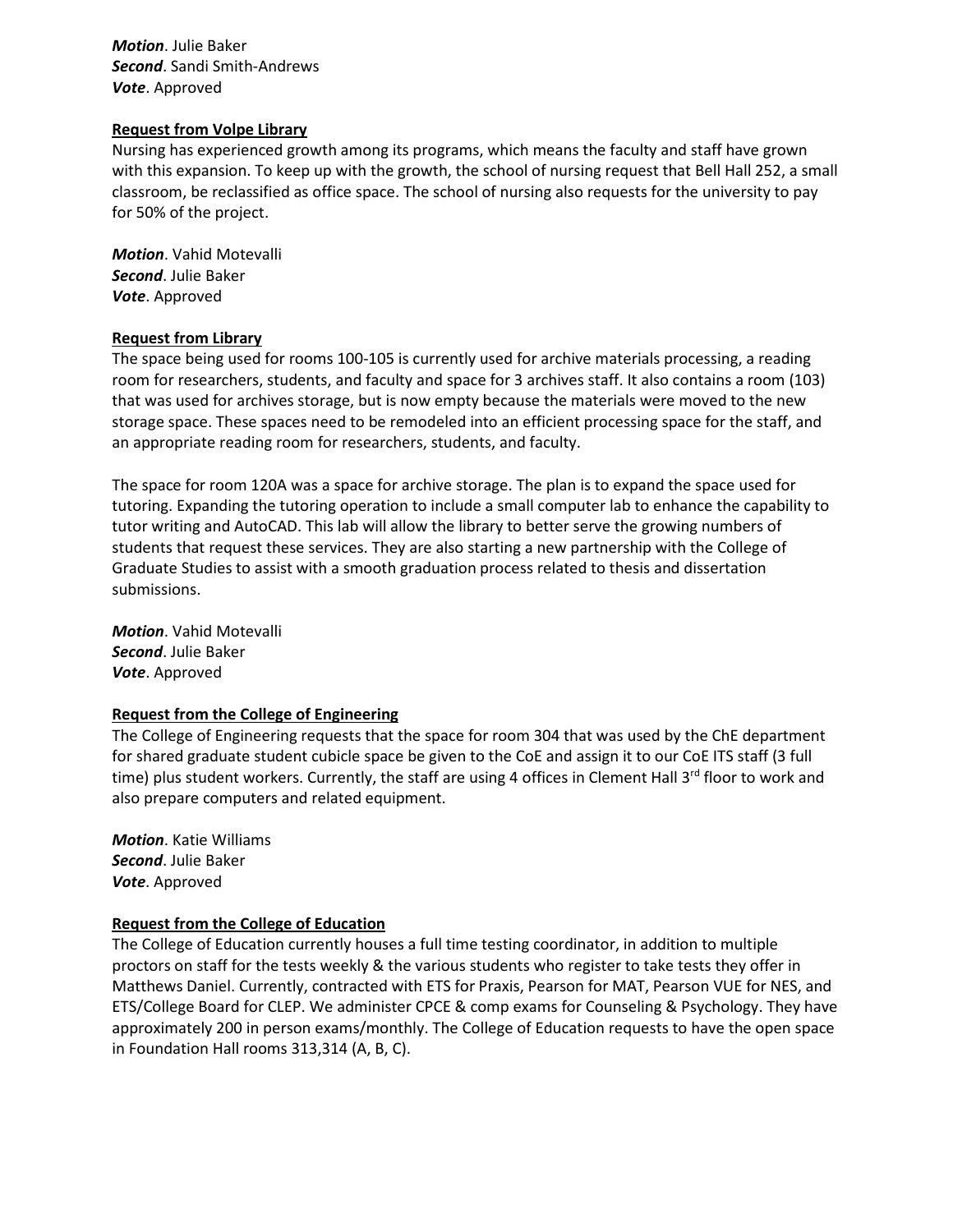*Motion*. Julie Baker *Second*. Sandi Smith-Andrews *Vote*. Approved

### **Request from Volpe Library**

Nursing has experienced growth among its programs, which means the faculty and staff have grown with this expansion. To keep up with the growth, the school of nursing request that Bell Hall 252, a small classroom, be reclassified as office space. The school of nursing also requests for the university to pay for 50% of the project.

*Motion*. Vahid Motevalli *Second*. Julie Baker *Vote*. Approved

## **Request from Library**

The space being used for rooms 100-105 is currently used for archive materials processing, a reading room for researchers, students, and faculty and space for 3 archives staff. It also contains a room (103) that was used for archives storage, but is now empty because the materials were moved to the new storage space. These spaces need to be remodeled into an efficient processing space for the staff, and an appropriate reading room for researchers, students, and faculty.

The space for room 120A was a space for archive storage. The plan is to expand the space used for tutoring. Expanding the tutoring operation to include a small computer lab to enhance the capability to tutor writing and AutoCAD. This lab will allow the library to better serve the growing numbers of students that request these services. They are also starting a new partnership with the College of Graduate Studies to assist with a smooth graduation process related to thesis and dissertation submissions.

*Motion*. Vahid Motevalli *Second*. Julie Baker *Vote*. Approved

#### **Request from the College of Engineering**

The College of Engineering requests that the space for room 304 that was used by the ChE department for shared graduate student cubicle space be given to the CoE and assign it to our CoE ITS staff (3 full time) plus student workers. Currently, the staff are using 4 offices in Clement Hall  $3^{rd}$  floor to work and also prepare computers and related equipment.

*Motion*. Katie Williams *Second*. Julie Baker *Vote*. Approved

## **Request from the College of Education**

The College of Education currently houses a full time testing coordinator, in addition to multiple proctors on staff for the tests weekly & the various students who register to take tests they offer in Matthews Daniel. Currently, contracted with ETS for Praxis, Pearson for MAT, Pearson VUE for NES, and ETS/College Board for CLEP. We administer CPCE & comp exams for Counseling & Psychology. They have approximately 200 in person exams/monthly. The College of Education requests to have the open space in Foundation Hall rooms 313,314 (A, B, C).